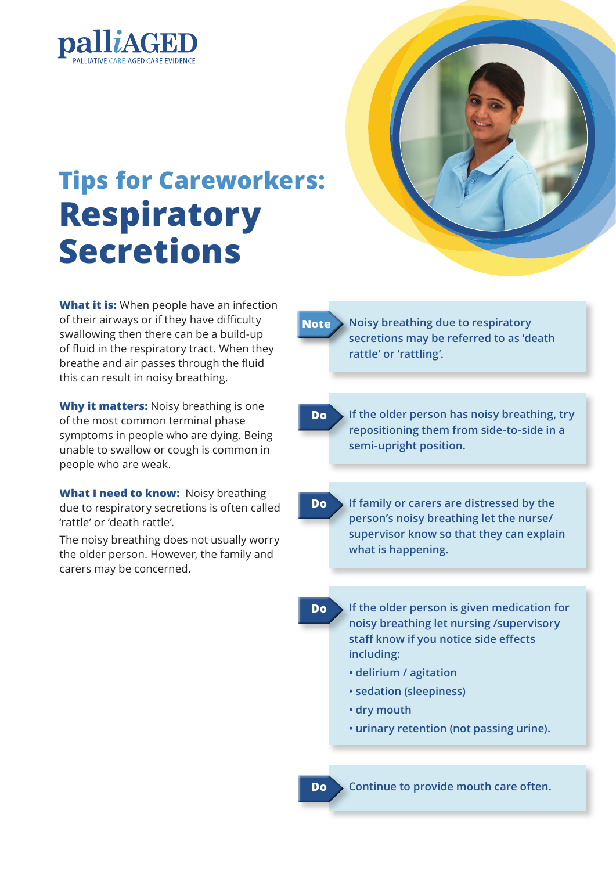

## **Tips for Careworkers: Respiratory Secretions**

**What it is:** When people have an infection of their airways or if they have difficulty swallowing then there can be a build-up of fluid in the respiratory tract. When they breathe and air passes through the fluid this can result in noisy breathing.

**Why it matters:** Noisy breathing is one of the most common terminal phase symptoms in people who are dying. Being unable to swallow or cough is common in people who are weak.

**What I need to know:** Noisy breathing due to respiratory secretions is often called 'rattle' or 'death rattle'.

The noisy breathing does not usually worry the older person. However, the family and carers may be concerned.



**Note Noisy breathing due to respiratory secretions may be referred to as 'death rattle' or 'rattling'.** 

**Do If the older person has noisy breathing, try repositioning them from side-to-side in a semi-upright position.**

**Do If family or carers are distressed by the person's noisy breathing let the nurse/ supervisor know so that they can explain what is happening.**

- **Do If the older person is given medication for noisy breathing let nursing /supervisory staff know if you notice side effects including:**
	- **delirium / agitation**
	- **sedation (sleepiness)**
	- **dry mouth**
	- **urinary retention (not passing urine).**

**Do Continue to provide mouth care often.**